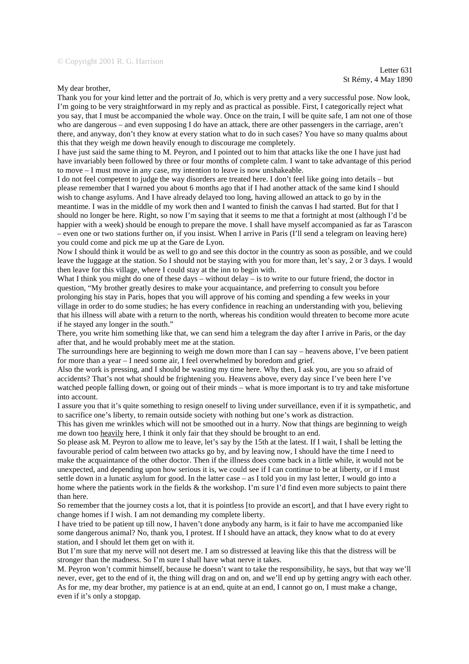My dear brother,

Thank you for your kind letter and the portrait of Jo, which is very pretty and a very successful pose. Now look, I'm going to be very straightforward in my reply and as practical as possible. First, I categorically reject what you say, that I must be accompanied the whole way. Once on the train, I will be quite safe, I am not one of those who are dangerous – and even supposing I do have an attack, there are other passengers in the carriage, aren't there, and anyway, don't they know at every station what to do in such cases? You have so many qualms about this that they weigh me down heavily enough to discourage me completely.

I have just said the same thing to M. Peyron, and I pointed out to him that attacks like the one I have just had have invariably been followed by three or four months of complete calm. I want to take advantage of this period to move – I must move in any case, my intention to leave is now unshakeable.

I do not feel competent to judge the way disorders are treated here. I don't feel like going into details – but please remember that I warned you about 6 months ago that if I had another attack of the same kind I should wish to change asylums. And I have already delayed too long, having allowed an attack to go by in the meantime. I was in the middle of my work then and I wanted to finish the canvas I had started. But for that I should no longer be here. Right, so now I'm saying that it seems to me that a fortnight at most (although I'd be happier with a week) should be enough to prepare the move. I shall have myself accompanied as far as Tarascon – even one or two stations further on, if you insist. When I arrive in Paris (I'll send a telegram on leaving here) you could come and pick me up at the Gare de Lyon.

Now I should think it would be as well to go and see this doctor in the country as soon as possible, and we could leave the luggage at the station. So I should not be staying with you for more than, let's say, 2 or 3 days. I would then leave for this village, where I could stay at the inn to begin with.

What I think you might do one of these days – without delay – is to write to our future friend, the doctor in question, "My brother greatly desires to make your acquaintance, and preferring to consult you before prolonging his stay in Paris, hopes that you will approve of his coming and spending a few weeks in your village in order to do some studies; he has every confidence in reaching an understanding with you, believing that his illness will abate with a return to the north, whereas his condition would threaten to become more acute

if he stayed any longer in the south."

There, you write him something like that, we can send him a telegram the day after I arrive in Paris, or the day after that, and he would probably meet me at the station.

The surroundings here are beginning to weigh me down more than I can say – heavens above, I've been patient for more than a year – I need some air, I feel overwhelmed by boredom and grief.

Also the work is pressing, and I should be wasting my time here. Why then, I ask you, are you so afraid of accidents? That's not what should be frightening you. Heavens above, every day since I've been here I've watched people falling down, or going out of their minds – what is more important is to try and take misfortune into account.

I assure you that it's quite something to resign oneself to living under surveillance, even if it is sympathetic, and to sacrifice one's liberty, to remain outside society with nothing but one's work as distraction.

This has given me wrinkles which will not be smoothed out in a hurry. Now that things are beginning to weigh me down too heavily here, I think it only fair that they should be brought to an end.

So please ask M. Peyron to allow me to leave, let's say by the 15th at the latest. If I wait, I shall be letting the favourable period of calm between two attacks go by, and by leaving now, I should have the time I need to make the acquaintance of the other doctor. Then if the illness does come back in a little while, it would not be unexpected, and depending upon how serious it is, we could see if I can continue to be at liberty, or if I must settle down in a lunatic asylum for good. In the latter case – as I told you in my last letter, I would go into a home where the patients work in the fields & the workshop. I'm sure I'd find even more subjects to paint there than here.

So remember that the journey costs a lot, that it is pointless [to provide an escort], and that I have every right to change homes if I wish. I am not demanding my complete liberty.

I have tried to be patient up till now, I haven't done anybody any harm, is it fair to have me accompanied like some dangerous animal? No, thank you, I protest. If I should have an attack, they know what to do at every station, and I should let them get on with it.

But I'm sure that my nerve will not desert me. I am so distressed at leaving like this that the distress will be stronger than the madness. So I'm sure I shall have what nerve it takes.

M. Peyron won't commit himself, because he doesn't want to take the responsibility, he says, but that way we'll never, ever, get to the end of it, the thing will drag on and on, and we'll end up by getting angry with each other. As for me, my dear brother, my patience is at an end, quite at an end, I cannot go on, I must make a change, even if it's only a stopgap.